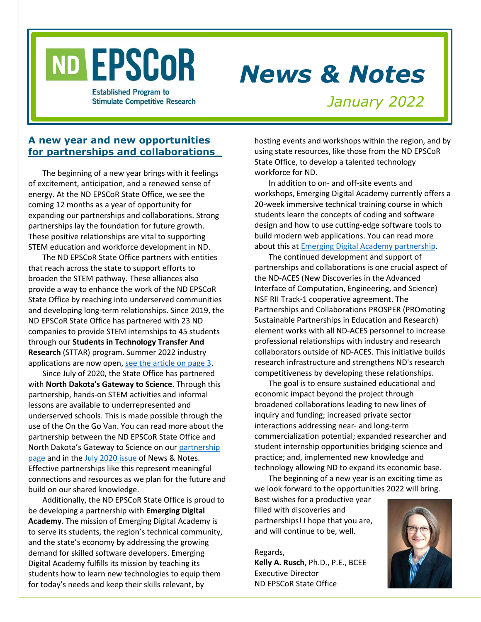# ND EPSCOR

# *News & Notes*

**Established Program to Stimulate Competitive Research** 

*January 2022*

# **A new year and new opportunities for partnerships and collaborations\_**

The beginning of a new year brings with it feelings of excitement, anticipation, and a renewed sense of energy. At the ND EPSCoR State Office, we see the coming 12 months as a year of opportunity for expanding our partnerships and collaborations. Strong partnerships lay the foundation for future growth. These positive relationships are vital to supporting STEM education and workforce development in ND.

The ND EPSCoR State Office partners with entities that reach across the state to support efforts to broaden the STEM pathway. These alliances also provide a way to enhance the work of the ND EPSCoR State Office by reaching into underserved communities and developing long-term relationships. Since 2019, the ND EPSCoR State Office has partnered with 23 ND companies to provide STEM internships to 45 students through our **Students in Technology Transfer And Research** (STTAR) program. Summer 2022 industry applications are now open[, see the article on page 3.](#page-1-0)

Since July of 2020, the State Office has partnered with **North Dakota's Gateway to Science**. Through this partnership, hands-on STEM activities and informal lessons are available to underrepresented and underserved schools. This is made possible through the use of the On the Go Van. You can read more about the partnership between the ND EPSCoR State Office and North Dakota's Gateway to Science on our [partnership](https://www.ndepscor.ndus.edu/education/gateway_to_science/)  [page](https://www.ndepscor.ndus.edu/education/gateway_to_science/) and in th[e July 2020 issue](https://www.ndepscor.ndus.edu/fileadmin/ndus/ndepscor/News_and_Notes_Newsletters/News_and_Notes_Newsletter_2020_July.pdf) of News & Notes. Effective partnerships like this represent meaningful connections and resources as we plan for the future and build on our shared knowledge.

Additionally, the ND EPSCoR State Office is proud to be developing a partnership with **Emerging Digital Academy**. The mission of Emerging Digital Academy is to serve its students, the region's technical community, and the state's economy by addressing the growing demand for skilled software developers. Emerging Digital Academy fulfills its mission by teaching its students how to learn new technologies to equip them for today's needs and keep their skills relevant, by

hosting events and workshops within the region, and by using state resources, like those from the ND EPSCoR State Office, to develop a talented technology workforce for ND.

In addition to on- and off-site events and workshops, Emerging Digital Academy currently offers a 20-week immersive technical training course in which students learn the concepts of coding and software design and how to use cutting-edge software tools to build modern web applications. You can read more about this at [Emerging Digital Academy partnership.](https://www.ndepscor.ndus.edu/partnerships/emerging_digital_academy/)

The continued development and support of partnerships and collaborations is one crucial aspect of the ND-ACES (New Discoveries in the Advanced Interface of Computation, Engineering, and Science) NSF RII Track-1 cooperative agreement. The Partnerships and Collaborations PROSPER (PROmoting Sustainable Partnerships in Education and Research) element works with all ND-ACES personnel to increase professional relationships with industry and research collaborators outside of ND-ACES. This initiative builds research infrastructure and strengthens ND's research competitiveness by developing these relationships.

The goal is to ensure sustained educational and economic impact beyond the project through broadened collaborations leading to new lines of inquiry and funding; increased private sector interactions addressing near- and long-term commercialization potential; expanded researcher and student internship opportunities bridging science and practice; and, implemented new knowledge and technology allowing ND to expand its economic base.

The beginning of a new year is an exciting time as we look forward to the opportunities 2022 will bring.

Best wishes for a productive year filled with discoveries and partnerships! I hope that you are, and will continue to be, well.

Regards, **Kelly A. Rusch**, Ph.D., P.E., BCEE Executive Director ND EPSCoR State Office

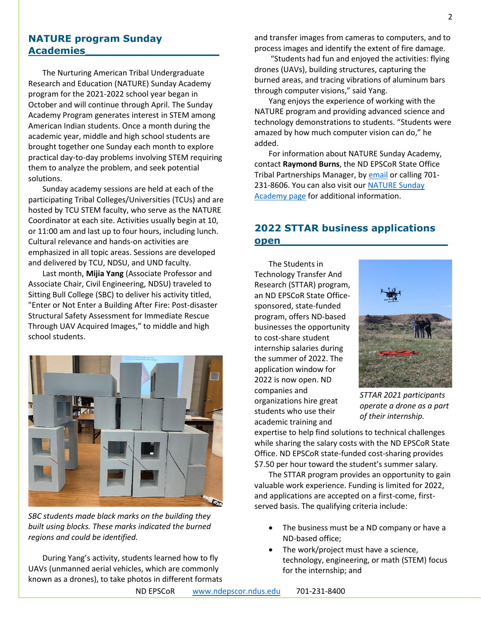# **NATURE program Sunday Academies\_\_\_\_\_\_\_\_\_\_\_\_\_\_\_\_\_\_\_\_**

The Nurturing American Tribal Undergraduate Research and Education (NATURE) Sunday Academy program for the 2021-2022 school year began in October and will continue through April. The Sunday Academy Program generates interest in STEM among American Indian students. Once a month during the academic year, middle and high school students are brought together one Sunday each month to explore practical day-to-day problems involving STEM requiring them to analyze the problem, and seek potential solutions.

Sunday academy sessions are held at each of the participating Tribal Colleges/Universities (TCUs) and are hosted by TCU STEM faculty, who serve as the NATURE Coordinator at each site. Activities usually begin at 10, or 11:00 am and last up to four hours, including lunch. Cultural relevance and hands-on activities are emphasized in all topic areas. Sessions are developed and delivered by TCU, NDSU, and UND faculty.

Last month, **Mijia Yang** (Associate Professor and Associate Chair, Civil Engineering, NDSU) traveled to Sitting Bull College (SBC) to deliver his activity titled, "Enter or Not Enter a Building After Fire: Post-disaster Structural Safety Assessment for Immediate Rescue Through UAV Acquired Images," to middle and high school students.



*SBC students made black marks on the building they built using blocks. These marks indicated the burned regions and could be identified.*

During Yang's activity, students learned how to fly UAVs (unmanned aerial vehicles, which are commonly known as a drones), to take photos in different formats and transfer images from cameras to computers, and to process images and identify the extent of fire damage.

"Students had fun and enjoyed the activities: flying drones (UAVs), building structures, capturing the burned areas, and tracing vibrations of aluminum bars through computer visions," said Yang.

Yang enjoys the experience of working with the NATURE program and providing advanced science and technology demonstrations to students. "Students were amazed by how much computer vision can do," he added.

For information about NATURE Sunday Academy, contact **Raymond Burns**, the ND EPSCoR State Office Tribal Partnerships Manager, by **email** or calling 701-231-8606. You can also visit our [NATURE Sunday](https://www.ndepscor.ndus.edu/ndep/nature/sunday-academy/)  [Academy page](https://www.ndepscor.ndus.edu/ndep/nature/sunday-academy/) for additional information.

# <span id="page-1-0"></span>**2022 STTAR business applications open\_\_\_\_\_\_\_\_\_\_\_\_\_\_\_\_\_\_\_\_\_\_\_\_\_**

The Students in Technology Transfer And Research (STTAR) program, an ND EPSCoR State Officesponsored, state-funded program, offers ND-based businesses the opportunity to cost-share student internship salaries during the summer of 2022. The application window for 2022 is now open. ND companies and organizations hire great students who use their academic training and



*STTAR 2021 participants operate a drone as a part of their internship.*

expertise to help find solutions to technical challenges while sharing the salary costs with the ND EPSCoR State Office. ND EPSCoR state-funded cost-sharing provides \$7.50 per hour toward the student's summer salary.

The STTAR program provides an opportunity to gain valuable work experience. Funding is limited for 2022, and applications are accepted on a first-come, firstserved basis. The qualifying criteria include:

- The business must be a ND company or have a ND-based office;
- The work/project must have a science, technology, engineering, or math (STEM) focus for the internship; and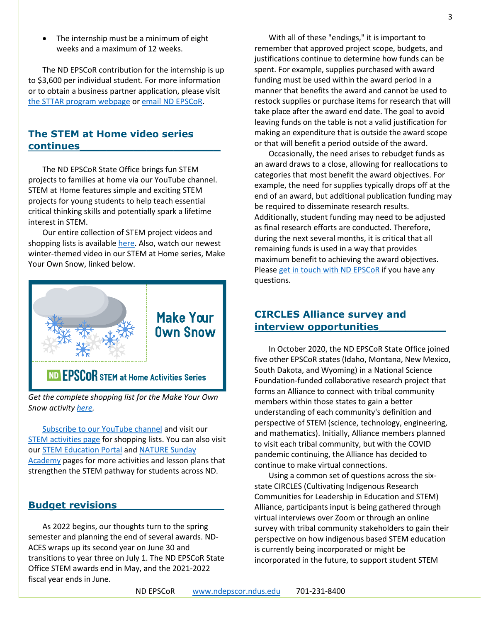The internship must be a minimum of eight weeks and a maximum of 12 weeks.

The ND EPSCoR contribution for the internship is up to \$3,600 per individual student. For more information or to obtain a business partner application, please visit [the STTAR program webpage](https://www.ndepscor.ndus.edu/programs/sttar/) o[r email ND](mailto:ndepscor@ndus.edu) EPSCoR.

# **The STEM at Home video series continues\_\_\_\_\_\_\_\_\_\_\_\_\_\_\_\_\_\_\_\_\_**

The ND EPSCoR State Office brings fun STEM projects to families at home via our YouTube channel. STEM at Home features simple and exciting STEM projects for young students to help teach essential critical thinking skills and potentially spark a lifetime interest in STEM.

Our entire collection of STEM project videos and shopping lists is availabl[e here.](https://www.ndepscor.ndus.edu/ndepscorprograms/stem_at_home_activities/) Also, watch our newest winter-themed video in our STEM at Home series, Make Your Own Snow, linked below.



# ND EPSCOR STEM at Home Activities Series

*Get the complete shopping list for the Make Your Own Snow activit[y here.](https://bit.ly/3tKhNAX)*

[Subscribe to our YouTube channel](https://bit.ly/ndepscorchannel) and visit our [STEM activities page](https://www.ndepscor.ndus.edu/ndepscorprograms/stem_at_home_activities/) for shopping lists. You can also visit our [STEM Education Portal](https://www.ndepscor.ndus.edu/stem_education/stem_education_portal/) and [NATURE Sunday](https://www.ndepscor.ndus.edu/ndep/nature/sunday-academy/)  [Academy](https://www.ndepscor.ndus.edu/ndep/nature/sunday-academy/) pages for more activities and lesson plans that strengthen the STEM pathway for students across ND.

# **Budget revisions\_\_\_\_\_\_\_\_\_\_\_\_\_\_\_\_**

As 2022 begins, our thoughts turn to the spring semester and planning the end of several awards. ND-ACES wraps up its second year on June 30 and transitions to year three on July 1. The ND EPSCoR State Office STEM awards end in May, and the 2021-2022 fiscal year ends in June.

With all of these "endings," it is important to remember that approved project scope, budgets, and justifications continue to determine how funds can be spent. For example, supplies purchased with award funding must be used within the award period in a manner that benefits the award and cannot be used to restock supplies or purchase items for research that will take place after the award end date. The goal to avoid leaving funds on the table is not a valid justification for making an expenditure that is outside the award scope or that will benefit a period outside of the award.

Occasionally, the need arises to rebudget funds as an award draws to a close, allowing for reallocations to categories that most benefit the award objectives. For example, the need for supplies typically drops off at the end of an award, but additional publication funding may be required to disseminate research results. Additionally, student funding may need to be adjusted as final research efforts are conducted. Therefore, during the next several months, it is critical that all remaining funds is used in a way that provides maximum benefit to achieving the award objectives. Please [get in touch with ND EPSCoR](mailto:ndepscor@ndus.edu) if you have any questions.

# **CIRCLES Alliance survey and interview opportunities\_\_\_\_\_\_\_\_\_\_**

In October 2020, the ND EPSCoR State Office joined five other EPSCoR states (Idaho, Montana, New Mexico, South Dakota, and Wyoming) in a National Science Foundation-funded collaborative research project that forms an Alliance to connect with tribal community members within those states to gain a better understanding of each community's definition and perspective of STEM (science, technology, engineering, and mathematics). Initially, Alliance members planned to visit each tribal community, but with the COVID pandemic continuing, the Alliance has decided to continue to make virtual connections.

Using a common set of questions across the sixstate CIRCLES (Cultivating Indigenous Research Communities for Leadership in Education and STEM) Alliance, participants input is being gathered through virtual interviews over Zoom or through an online survey with tribal community stakeholders to gain their perspective on how indigenous based STEM education is currently being incorporated or might be incorporated in the future, to support student STEM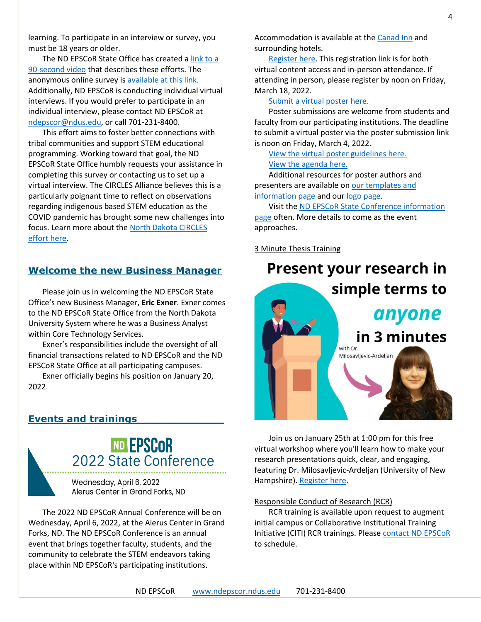learning. To participate in an interview or survey, you must be 18 years or older.

The ND EPSCoR State Office has created [a link to a](http://bit.ly/circlesalliance)  [90-second video](http://bit.ly/circlesalliance) that describes these efforts. The anonymous online survey is [available at this link.](https://ndstate.co1.qualtrics.com/jfe/form/SV_0vtVlLFJlzwWH2Z) Additionally, ND EPSCoR is conducting individual virtual interviews. If you would prefer to participate in an individual interview, please contact ND EPSCoR at [ndepscor@ndus.edu,](mailto:ndepscor@ndus.edu) or call 701-231-8400.

This effort aims to foster better connections with tribal communities and support STEM educational programming. Working toward that goal, the ND EPSCoR State Office humbly requests your assistance in completing this survey or contacting us to set up a virtual interview. The CIRCLES Alliance believes this is a particularly poignant time to reflect on observations regarding indigenous based STEM education as the COVID pandemic has brought some new challenges into focus. Learn more about the [North Dakota CIRCLES](https://www.ndepscor.ndus.edu/ndepscorprograms/circles_alliance_prime_institution_umt_2020_2022/)  [effort here.](https://www.ndepscor.ndus.edu/ndepscorprograms/circles_alliance_prime_institution_umt_2020_2022/)

# **Welcome the new Business Manager**

Please join us in welcoming the ND EPSCoR State Office's new Business Manager, **Eric Exner**. Exner comes to the ND EPSCoR State Office from the North Dakota University System where he was a Business Analyst within Core Technology Services.

Exner's responsibilities include the oversight of all financial transactions related to ND EPSCoR and the ND EPSCoR State Office at all participating campuses.

Exner officially begins his position on January 20, 2022.

# **Events and trainings\_\_\_\_\_\_\_\_\_\_\_\_\_**

# **ND EPSCOR**<br>2022 State Conference

Wednesday, April 6, 2022 Alerus Center in Grand Forks, ND

The 2022 ND EPSCoR Annual Conference will be on Wednesday, April 6, 2022, at the Alerus Center in Grand Forks, ND. The ND EPSCoR Conference is an annual event that brings together faculty, students, and the community to celebrate the STEM endeavors taking place within ND EPSCoR's participating institutions.

Accommodation is available at th[e Canad Inn](https://www.canadinns.com/stay/grand-forks/) and surrounding hotels.

[Register here.](https://symposium.foragerone.com/nd-epscor-2022-state-conference/register) This registration link is for both virtual content access and in-person attendance. If attending in person, please register by noon on Friday, March 18, 2022.

[Submit a virtual poster here.](https://symposium.foragerone.com/nd-epscor-2022-state-conference/submission)

Poster submissions are welcome from students and faculty from our participating institutions. The deadline to submit a virtual poster via the poster submission link is noon on Friday, March 4, 2022.

[View the virtual poster guidelines here.](https://www.ndepscor.ndus.edu/fileadmin/ndus/ndepscor/State_Conference/Poster_Submission_Guidelines_2022.pdf) [View the agenda here.](https://www.ndepscor.ndus.edu/fileadmin/ndus/ndepscor/State_Conference/2022_ND_EPSCoR_State_Conference_Agenda.pdf)

Additional resources for poster authors and presenters are available o[n our templates and](https://www.ndepscor.ndus.edu/resources/)  [information page](https://www.ndepscor.ndus.edu/resources/) and our [logo page.](https://www.ndepscor.ndus.edu/resources/helpful-resources/poster-logos/)

Visit the [ND EPSCoR State Conference information](https://www.ndepscor.ndus.edu/news/nd_epscor_state_conf/)  [page](https://www.ndepscor.ndus.edu/news/nd_epscor_state_conf/) often. More details to come as the event approaches.

3 Minute Thesis Training

# **Present your research in** simple terms to



Join us on January 25th at 1:00 pm for this free virtual workshop where you'll learn how to make your research presentations quick, clear, and engaging, featuring Dr. Milosavljevic-Ardeljan (University of New Hampshire). [Register here.](https://buff.ly/3E5MKB0)

#### Responsible Conduct of Research (RCR)

RCR training is available upon request to augment initial campus or Collaborative Institutional Training Initiative (CITI) RCR trainings. Please [contact ND EPSCoR](mailto:ndepscor@ndus.edu) to schedule.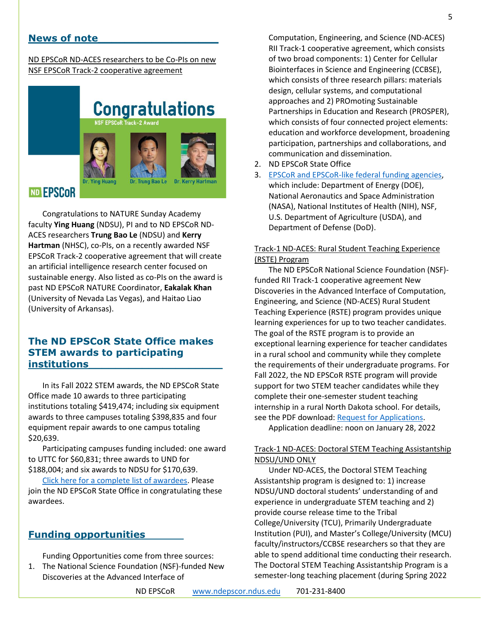# **News of note\_\_\_\_\_\_\_\_\_\_\_\_\_\_\_\_\_\_**

ND EPSCoR ND-ACES researchers to be Co-PIs on new NSF EPSCoR Track-2 cooperative agreement

# **Congratulations**



# ND EPSCOR

Congratulations to NATURE Sunday Academy faculty **Ying Huang** (NDSU), PI and to ND EPSCoR ND-ACES researchers **Trung Bao Le** (NDSU) and **Kerry Hartman** (NHSC), co-PIs, on a recently awarded NSF EPSCoR Track-2 cooperative agreement that will create an artificial intelligence research center focused on sustainable energy. Also listed as co-PIs on the award is past ND EPSCoR NATURE Coordinator, **Eakalak Khan** (University of Nevada Las Vegas), and Haitao Liao (University of Arkansas).

# **The ND EPSCoR State Office makes STEM awards to participating institutions\_\_\_\_\_\_\_\_\_\_\_\_\_\_\_\_\_\_\_\_**

In its Fall 2022 STEM awards, the ND EPSCoR State Office made 10 awards to three participating institutions totaling \$419,474; including six equipment awards to three campuses totaling \$398,835 and four equipment repair awards to one campus totaling \$20,639.

Participating campuses funding included: one award to UTTC for \$60,831; three awards to UND for \$188,004; and six awards to NDSU for \$170,639.

[Click here for a complete list of awardees.](https://www.ndepscor.ndus.edu/serving-our-state/buiding-stem-capacity-and-competitiveness/) Please join the ND EPSCoR State Office in congratulating these awardees.

# **Funding opportunities**

Funding Opportunities come from three sources: 1. The National Science Foundation (NSF)-funded New Discoveries at the Advanced Interface of

Computation, Engineering, and Science (ND-ACES) RII Track-1 cooperative agreement, which consists of two broad components: 1) Center for Cellular Biointerfaces in Science and Engineering (CCBSE), which consists of three research pillars: materials design, cellular systems, and computational approaches and 2) PROmoting Sustainable Partnerships in Education and Research (PROSPER), which consists of four connected project elements: education and workforce development, broadening participation, partnerships and collaborations, and communication and dissemination.

- 2. ND EPSCoR State Office
- 3. [EPSCoR and EPSCoR-like federal funding agencies,](https://www.nsf.gov/od/oia/programs/epscor/nsf_oiia_epscor_epscor_eicc.jsp) which include: Department of Energy (DOE), National Aeronautics and Space Administration (NASA), National Institutes of Health (NIH), NSF, U.S. Department of Agriculture (USDA), and Department of Defense (DoD).

# Track-1 ND-ACES: Rural Student Teaching Experience (RSTE) Program

The ND EPSCoR National Science Foundation (NSF) funded RII Track-1 cooperative agreement New Discoveries in the Advanced Interface of Computation, Engineering, and Science (ND-ACES) Rural Student Teaching Experience (RSTE) program provides unique learning experiences for up to two teacher candidates. The goal of the RSTE program is to provide an exceptional learning experience for teacher candidates in a rural school and community while they complete the requirements of their undergraduate programs. For Fall 2022, the ND EPSCoR RSTE program will provide support for two STEM teacher candidates while they complete their one-semester student teaching internship in a rural North Dakota school. For details, see the PDF download: [Request for Applications.](https://www.ndepscor.ndus.edu/fileadmin/ndus/ndepscor/RSTE/RSTE_Fall_2022_RFA.pdf)

Application deadline: noon on January 28, 2022

# Track-1 ND-ACES: Doctoral STEM Teaching Assistantship NDSU/UND ONLY

Under ND-ACES, the Doctoral STEM Teaching Assistantship program is designed to: 1) increase NDSU/UND doctoral students' understanding of and experience in undergraduate STEM teaching and 2) provide course release time to the Tribal College/University (TCU), Primarily Undergraduate Institution (PUI), and Master's College/University (MCU) faculty/instructors/CCBSE researchers so that they are able to spend additional time conducting their research. The Doctoral STEM Teaching Assistantship Program is a semester-long teaching placement (during Spring 2022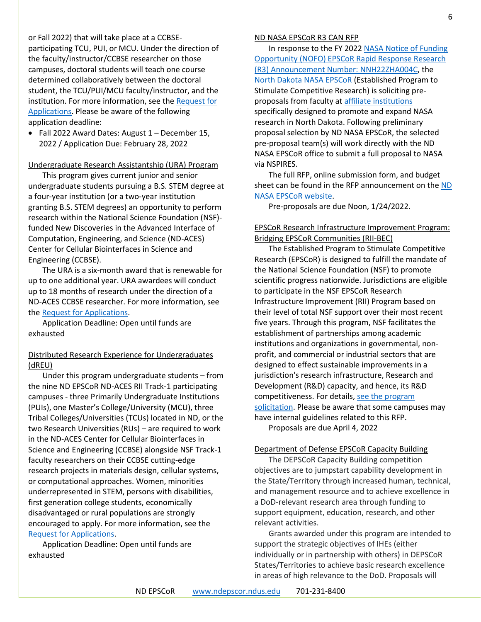or Fall 2022) that will take place at a CCBSEparticipating TCU, PUI, or MCU. Under the direction of the faculty/instructor/CCBSE researcher on those campuses, doctoral students will teach one course determined collaboratively between the doctoral student, the TCU/PUI/MCU faculty/instructor, and the institution. For more information, see the [Request for](https://www.ndepscor.ndus.edu/fileadmin/ndus/ndepscor/STEM/STEM_Teaching_Asst._2021.pdf)  [Applications.](https://www.ndepscor.ndus.edu/fileadmin/ndus/ndepscor/STEM/STEM_Teaching_Asst._2021.pdf) Please be aware of the following application deadline:

• Fall 2022 Award Dates: August 1 – December 15, 2022 / Application Due: February 28, 2022

#### Undergraduate Research Assistantship (URA) Program

This program gives current junior and senior undergraduate students pursuing a B.S. STEM degree at a four-year institution (or a two-year institution granting B.S. STEM degrees) an opportunity to perform research within the National Science Foundation (NSF) funded New Discoveries in the Advanced Interface of Computation, Engineering, and Science (ND-ACES) Center for Cellular Biointerfaces in Science and Engineering (CCBSE).

The URA is a six-month award that is renewable for up to one additional year. URA awardees will conduct up to 18 months of research under the direction of a ND-ACES CCBSE researcher. For more information, see the [Request for Applications.](https://www.ndepscor.ndus.edu/fileadmin/ndus/ndepscor/Undergraduate_Research_Assistantship/URA_2022.23RFA_reopened.pdf)

Application Deadline: Open until funds are exhausted

# Distributed Research Experience for Undergraduates (dREU)

Under this program undergraduate students – from the nine ND EPSCoR ND-ACES RII Track-1 participating campuses - three Primarily Undergraduate Institutions (PUIs), one Master's College/University (MCU), three Tribal Colleges/Universities (TCUs) located in ND, or the two Research Universities (RUs) – are required to work in the ND-ACES Center for Cellular Biointerfaces in Science and Engineering (CCBSE) alongside NSF Track-1 faculty researchers on their CCBSE cutting-edge research projects in materials design, cellular systems, or computational approaches. Women, minorities underrepresented in STEM, persons with disabilities, first generation college students, economically disadvantaged or rural populations are strongly encouraged to apply. For more information, see the [Request for Applications.](https://www.ndepscor.ndus.edu/fileadmin/ndus/ndepscor/REU/2021REURFAfinal_reopened.pdf)

Application Deadline: Open until funds are exhausted

#### ND NASA EPSCoR R3 CAN RFP

In response to the FY 202[2 NASA Notice of Funding](https://nspires.nasaprs.com/external/solicitations/summary!init.do?solId=%7BBEDBDE59-E1FF-8C25-63F7-313452FDFD09%7D&path=open)  [Opportunity \(NOFO\) EPSCoR Rapid Response Research](https://nspires.nasaprs.com/external/solicitations/summary!init.do?solId=%7BBEDBDE59-E1FF-8C25-63F7-313452FDFD09%7D&path=open)  [\(R3\) Announcement Number: NNH22ZHA004C,](https://nspires.nasaprs.com/external/solicitations/summary!init.do?solId=%7BBEDBDE59-E1FF-8C25-63F7-313452FDFD09%7D&path=open) the [North Dakota NASA EPSCoR](https://ndnasaepscor.und.edu/) (Established Program to Stimulate Competitive Research) is soliciting preproposals from faculty at [affiliate institutions](https://ndnasaepscor.und.edu/about/affiliate-members.html) specifically designed to promote and expand NASA research in North Dakota. Following preliminary proposal selection by ND NASA EPSCoR, the selected pre-proposal team(s) will work directly with the ND NASA EPSCoR office to submit a full proposal to NASA via NSPIRES.

The full RFP, online submission form, and budget sheet can be found in the RFP announcement on the ND [NASA EPSCoR website.](http://blogs.und.edu/jdosas/2021/12/nd-nasa-epscor-r3-can-f21/)

Pre-proposals are due Noon, 1/24/2022.

## EPSCoR Research Infrastructure Improvement Program: Bridging EPSCoR Communities (RII-BEC)

The Established Program to Stimulate Competitive Research (EPSCoR) is designed to fulfill the mandate of the National Science Foundation (NSF) to promote scientific progress nationwide. Jurisdictions are eligible to participate in the NSF EPSCoR Research Infrastructure Improvement (RII) Program based on their level of total NSF support over their most recent five years. Through this program, NSF facilitates the establishment of partnerships among academic institutions and organizations in governmental, nonprofit, and commercial or industrial sectors that are designed to effect sustainable improvements in a jurisdiction's research infrastructure, Research and Development (R&D) capacity, and hence, its R&D competitiveness. For details, see the program [solicitation.](https://www.nsf.gov/pubs/2022/nsf22536/nsf22536.htm) Please be aware that some campuses may have internal guidelines related to this RFP.

Proposals are due April 4, 2022

## Department of Defense EPSCoR Capacity Building

The DEPSCoR Capacity Building competition objectives are to jumpstart capability development in the State/Territory through increased human, technical, and management resource and to achieve excellence in a DoD-relevant research area through funding to support equipment, education, research, and other relevant activities.

Grants awarded under this program are intended to support the strategic objectives of IHEs (either individually or in partnership with others) in DEPSCoR States/Territories to achieve basic research excellence in areas of high relevance to the DoD. Proposals will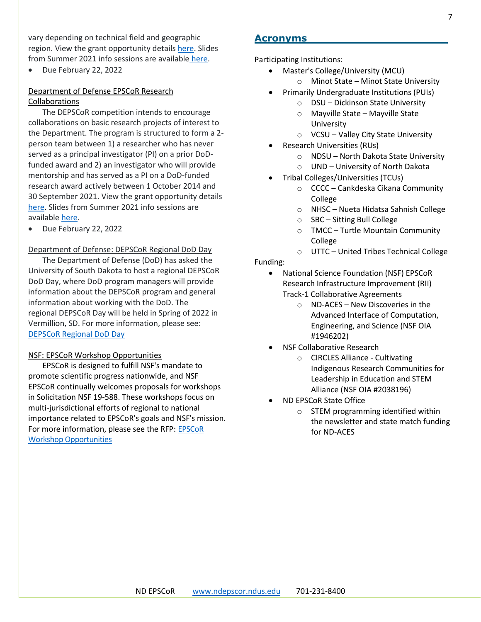vary depending on technical field and geographic region. View the grant opportunity details [here.](https://epscorideafoundation.us1.list-manage.com/track/click?u=54d669391232b23bf15d1a89f&id=66c86fc795&e=e5e9efddb6) Slides from Summer 2021 info sessions are available [here.](https://epscorideafoundation.us1.list-manage.com/track/click?u=54d669391232b23bf15d1a89f&id=9cb850104f&e=e5e9efddb6)

• Due February 22, 2022

# Department of Defense EPSCoR Research Collaborations

The DEPSCoR competition intends to encourage collaborations on basic research projects of interest to the Department. The program is structured to form a 2 person team between 1) a researcher who has never served as a principal investigator (PI) on a prior DoDfunded award and 2) an investigator who will provide mentorship and has served as a PI on a DoD-funded research award actively between 1 October 2014 and 30 September 2021. View the grant opportunity details [here.](https://www.grants.gov/web/grants/view-opportunity.html?oppId=333421) Slides from Summer 2021 info sessions are available [here.](https://epscorideafoundation.us1.list-manage.com/track/click?u=54d669391232b23bf15d1a89f&id=9cb850104f&e=e5e9efddb6)

• Due February 22, 2022

# Department of Defense: DEPSCoR Regional DoD Day

The Department of Defense (DoD) has asked the University of South Dakota to host a regional DEPSCoR DoD Day, where DoD program managers will provide information about the DEPSCoR program and general information about working with the DoD. The regional DEPSCoR Day will be held in Spring of 2022 in Vermillion, SD. For more information, please see: [DEPSCoR Regional DoD Day](https://www.usd.edu/research/depscor-dod-day)

## NSF: EPSCoR Workshop Opportunities

EPSCoR is designed to fulfill NSF's mandate to promote scientific progress nationwide, and NSF EPSCoR continually welcomes proposals for workshops in Solicitation NSF 19-588. These workshops focus on multi-jurisdictional efforts of regional to national importance related to EPSCoR's goals and NSF's mission. For more information, please see the RFP: [EPSCoR](https://www.nsf.gov/pubs/2019/nsf19588/nsf19588.pdf)  [Workshop Opportunities](https://www.nsf.gov/pubs/2019/nsf19588/nsf19588.pdf)

# **Acronyms\_\_\_\_\_\_\_\_\_\_\_\_\_\_\_\_\_\_\_\_\_**

Participating Institutions:

- Master's College/University (MCU)
	- o Minot State Minot State University
- Primarily Undergraduate Institutions (PUIs)
	- o DSU Dickinson State University
	- o Mayville State Mayville State University
	- o VCSU Valley City State University
- Research Universities (RUs)
	- o NDSU North Dakota State University
	- o UND University of North Dakota
	- Tribal Colleges/Universities (TCUs)
		- o CCCC Cankdeska Cikana Community College
		- o NHSC Nueta Hidatsa Sahnish College
		- o SBC Sitting Bull College
		- o TMCC Turtle Mountain Community College
		- o UTTC United Tribes Technical College

# Funding:

- National Science Foundation (NSF) EPSCoR Research Infrastructure Improvement (RII) Track-1 Collaborative Agreements
	- o ND-ACES New Discoveries in the Advanced Interface of Computation, Engineering, and Science (NSF OIA #1946202)
- NSF Collaborative Research
	- o CIRCLES Alliance Cultivating Indigenous Research Communities for Leadership in Education and STEM Alliance (NSF OIA #2038196)
- ND EPSCoR State Office
	- o STEM programming identified within the newsletter and state match funding for ND-ACES